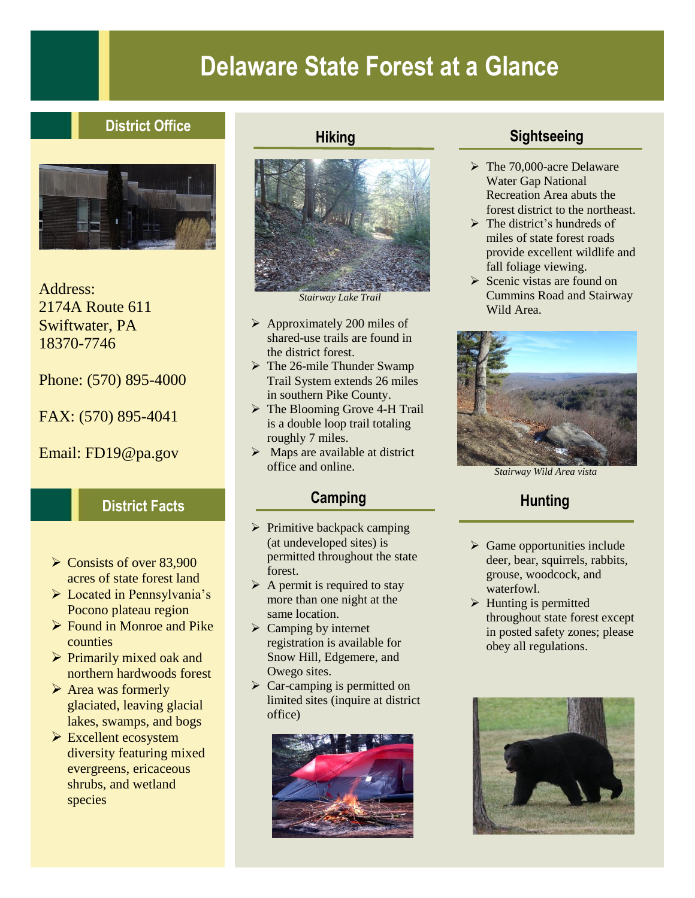# **Delaware State Forest at a Glance**

# **District Office**



Address: 2174A Route 611 Swiftwater, PA 18370-7746

Phone: (570) 895-4000

FAX: (570) 895-4041

Email: FD19@pa.gov

## **District Facts**

- $\geq$  Consists of over 83,900 acres of state forest land
- ➢ Located in Pennsylvania's Pocono plateau region
- ➢ Found in Monroe and Pike counties
- $\triangleright$  Primarily mixed oak and northern hardwoods forest
- ➢ Area was formerly glaciated, leaving glacial lakes, swamps, and bogs
- ➢ Excellent ecosystem diversity featuring mixed evergreens, ericaceous shrubs, and wetland species

#### **Hiking**



*Stairway Lake Trail*

- ➢ Approximately 200 miles of shared-use trails are found in the district forest.
- $\triangleright$  The 26-mile Thunder Swamp Trail System extends 26 miles in southern Pike County.
- ➢ The Blooming Grove 4-H Trail is a double loop trail totaling roughly 7 miles.
- $\triangleright$  Maps are available at district office and online.

## **Camping**

- $\triangleright$  Primitive backpack camping (at undeveloped sites) is permitted throughout the state forest.
- $\triangleright$  A permit is required to stay more than one night at the same location.
- $\triangleright$  Camping by internet registration is available for Snow Hill, Edgemere, and Owego sites.
- $\triangleright$  Car-camping is permitted on limited sites (inquire at district office)



## **Sightseeing**

- ➢ The 70,000-acre Delaware Water Gap National Recreation Area abuts the forest district to the northeast.
- $\triangleright$  The district's hundreds of miles of state forest roads provide excellent wildlife and fall foliage viewing.
- ➢ Scenic vistas are found on Cummins Road and Stairway Wild Area.



*Stairway Wild Area vista*

# **Hunting**

- $\triangleright$  Game opportunities include deer, bear, squirrels, rabbits, grouse, woodcock, and waterfowl.
- ➢ Hunting is permitted throughout state forest except in posted safety zones; please obey all regulations.